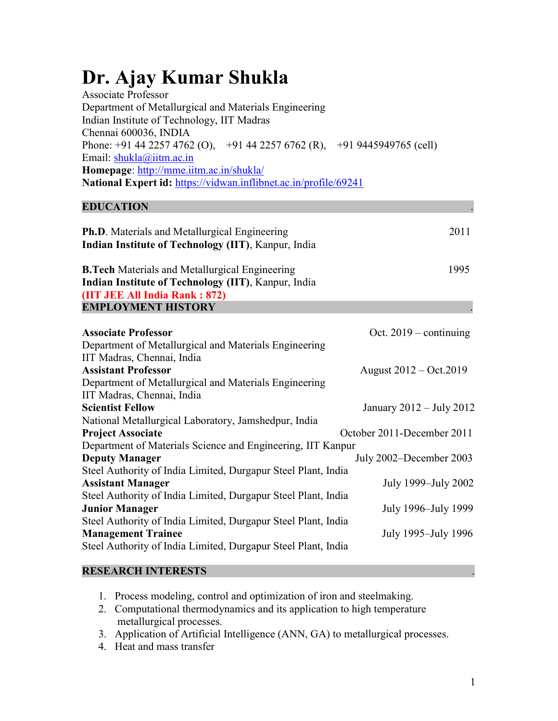# Dr. Ajay Kumar Shukla

| <b>Associate Professor</b>                                               |  |  |  |  |  |  |
|--------------------------------------------------------------------------|--|--|--|--|--|--|
| Department of Metallurgical and Materials Engineering                    |  |  |  |  |  |  |
| Indian Institute of Technology, IIT Madras                               |  |  |  |  |  |  |
| Chennai 600036, INDIA                                                    |  |  |  |  |  |  |
| Phone: +91 44 2257 4762 (O), +91 44 2257 6762 (R), +91 9445949765 (cell) |  |  |  |  |  |  |
| Email: $shukla(\omega)$ iitm.ac.in                                       |  |  |  |  |  |  |
| Homepage: http://mme.iitm.ac.in/shukla/                                  |  |  |  |  |  |  |
| <b>National Expert id: https://vidwan.inflibnet.ac.in/profile/69241</b>  |  |  |  |  |  |  |
|                                                                          |  |  |  |  |  |  |

### **EDUCATION**

| <b>Ph.D.</b> Materials and Metallurgical Engineering<br><b>Indian Institute of Technology (IIT), Kanpur, India</b> |      |  |  |  |
|--------------------------------------------------------------------------------------------------------------------|------|--|--|--|
| <b>B.Tech</b> Materials and Metallurgical Engineering                                                              | 1995 |  |  |  |

Indian Institute of Technology (IIT), Kanpur, India (IIT JEE All India Rank : 872) EMPLOYMENT HISTORY .

| <b>Associate Professor</b>                                    | Oct. $2019$ – continuing     |
|---------------------------------------------------------------|------------------------------|
| Department of Metallurgical and Materials Engineering         |                              |
| IIT Madras, Chennai, India                                    |                              |
| <b>Assistant Professor</b>                                    | August 2012 – Oct.2019       |
| Department of Metallurgical and Materials Engineering         |                              |
| IIT Madras, Chennai, India                                    |                              |
| <b>Scientist Fellow</b>                                       | January $2012 -$ July $2012$ |
| National Metallurgical Laboratory, Jamshedpur, India          |                              |
| <b>Project Associate</b>                                      | October 2011-December 2011   |
| Department of Materials Science and Engineering, IIT Kanpur   |                              |
| <b>Deputy Manager</b>                                         | July 2002–December 2003      |
| Steel Authority of India Limited, Durgapur Steel Plant, India |                              |
| <b>Assistant Manager</b>                                      | July 1999–July 2002          |
| Steel Authority of India Limited, Durgapur Steel Plant, India |                              |
| <b>Junior Manager</b>                                         | July 1996–July 1999          |
| Steel Authority of India Limited, Durgapur Steel Plant, India |                              |
| <b>Management Trainee</b>                                     | July 1995–July 1996          |
| Steel Authority of India Limited, Durgapur Steel Plant, India |                              |
|                                                               |                              |

#### RESEARCH INTERESTS

- 1. Process modeling, control and optimization of iron and steelmaking.
- 2. Computational thermodynamics and its application to high temperature metallurgical processes.
- 3. Application of Artificial Intelligence (ANN, GA) to metallurgical processes.
- 4. Heat and mass transfer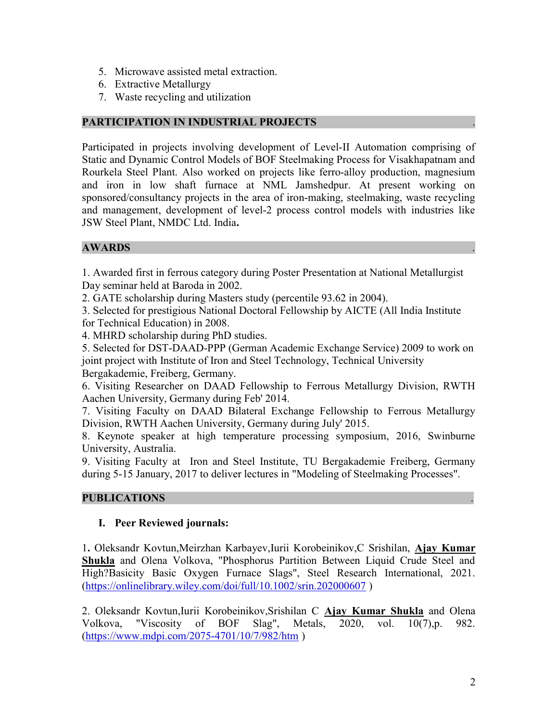- 5. Microwave assisted metal extraction.
- 6. Extractive Metallurgy
- 7. Waste recycling and utilization

#### PARTICIPATION IN INDUSTRIAL PROJECTS

Participated in projects involving development of Level-II Automation comprising of Static and Dynamic Control Models of BOF Steelmaking Process for Visakhapatnam and Rourkela Steel Plant. Also worked on projects like ferro-alloy production, magnesium and iron in low shaft furnace at NML Jamshedpur. At present working on sponsored/consultancy projects in the area of iron-making, steelmaking, waste recycling and management, development of level-2 process control models with industries like JSW Steel Plant, NMDC Ltd. India.

### **AWARDS**

1. Awarded first in ferrous category during Poster Presentation at National Metallurgist Day seminar held at Baroda in 2002.

2. GATE scholarship during Masters study (percentile 93.62 in 2004).

3. Selected for prestigious National Doctoral Fellowship by AICTE (All India Institute for Technical Education) in 2008.

4. MHRD scholarship during PhD studies.

5. Selected for DST-DAAD-PPP (German Academic Exchange Service) 2009 to work on joint project with Institute of Iron and Steel Technology, Technical University Bergakademie, Freiberg, Germany.

6. Visiting Researcher on DAAD Fellowship to Ferrous Metallurgy Division, RWTH Aachen University, Germany during Feb' 2014.

7. Visiting Faculty on DAAD Bilateral Exchange Fellowship to Ferrous Metallurgy Division, RWTH Aachen University, Germany during July' 2015.

8. Keynote speaker at high temperature processing symposium, 2016, Swinburne University, Australia.

9. Visiting Faculty at Iron and Steel Institute, TU Bergakademie Freiberg, Germany during 5-15 January, 2017 to deliver lectures in "Modeling of Steelmaking Processes".

#### PUBLICATIONS .

#### I. Peer Reviewed journals:

1. Oleksandr Kovtun,Meirzhan Karbayev,Iurii Korobeinikov,C Srishilan, Ajay Kumar Shukla and Olena Volkova, "Phosphorus Partition Between Liquid Crude Steel and High?Basicity Basic Oxygen Furnace Slags", Steel Research International, 2021. (https://onlinelibrary.wiley.com/doi/full/10.1002/srin.202000607 )

2. Oleksandr Kovtun, Iurii Korobeinikov, Srishilan C Ajay Kumar Shukla and Olena Volkova, "Viscosity of BOF Slag", Metals, 2020, vol. 10(7),p. 982. (https://www.mdpi.com/2075-4701/10/7/982/htm )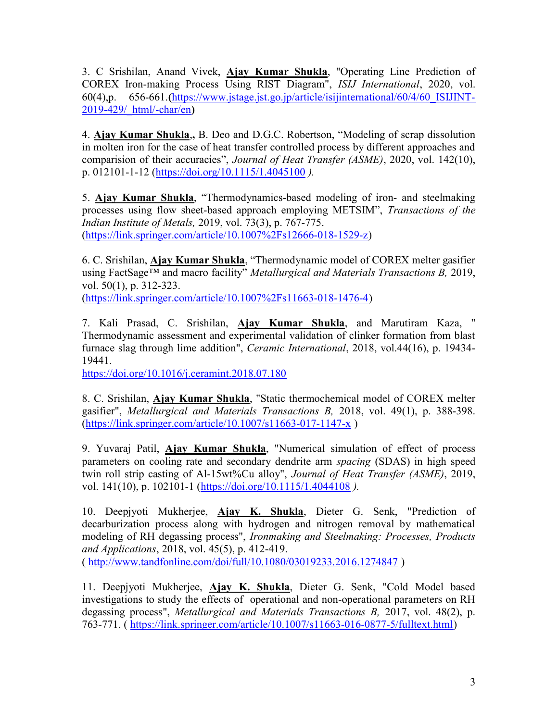3. C Srishilan, Anand Vivek, *Ajay Kumar Shukla*, "Operating Line Prediction of COREX Iron-making Process Using RIST Diagram", ISIJ International, 2020, vol. 60(4),p. 656-661.(https://www.jstage.jst.go.jp/article/isijinternational/60/4/60\_ISIJINT-2019-429/\_html/-char/en)

4. Ajay Kumar Shukla,, B. Deo and D.G.C. Robertson, "Modeling of scrap dissolution in molten iron for the case of heat transfer controlled process by different approaches and comparision of their accuracies", Journal of Heat Transfer (ASME), 2020, vol. 142(10), p. 012101-1-12 (https://doi.org/10.1115/1.4045100 ).

5. Ajay Kumar Shukla, "Thermodynamics-based modeling of iron- and steelmaking processes using flow sheet-based approach employing METSIM", Transactions of the Indian Institute of Metals, 2019, vol. 73(3), p. 767-775. (https://link.springer.com/article/10.1007%2Fs12666-018-1529-z)

6. C. Srishilan, Ajay Kumar Shukla, "Thermodynamic model of COREX melter gasifier using FactSage<sup>TM</sup> and macro facility" *Metallurgical and Materials Transactions B*, 2019, vol. 50(1), p. 312-323.

(https://link.springer.com/article/10.1007%2Fs11663-018-1476-4)

7. Kali Prasad, C. Srishilan, Ajay Kumar Shukla, and Marutiram Kaza, " Thermodynamic assessment and experimental validation of clinker formation from blast furnace slag through lime addition", Ceramic International, 2018, vol.44(16), p. 19434- 19441.

https://doi.org/10.1016/j.ceramint.2018.07.180

8. C. Srishilan, *Ajay Kumar Shukla*, "Static thermochemical model of COREX melter gasifier", Metallurgical and Materials Transactions B, 2018, vol. 49(1), p. 388-398. (https://link.springer.com/article/10.1007/s11663-017-1147-x )

9. Yuvaraj Patil, Ajay Kumar Shukla, "Numerical simulation of effect of process parameters on cooling rate and secondary dendrite arm spacing (SDAS) in high speed twin roll strip casting of Al-15wt%Cu alloy", Journal of Heat Transfer (ASME), 2019, vol. 141(10), p. 102101-1 (https://doi.org/10.1115/1.4044108 ).

10. Deepjyoti Mukherjee, Ajay K. Shukla, Dieter G. Senk, "Prediction of decarburization process along with hydrogen and nitrogen removal by mathematical modeling of RH degassing process", Ironmaking and Steelmaking: Processes, Products and Applications, 2018, vol. 45(5), p. 412-419. ( http://www.tandfonline.com/doi/full/10.1080/03019233.2016.1274847 )

11. Deepjyoti Mukherjee, Ajay K. Shukla, Dieter G. Senk, "Cold Model based investigations to study the effects of operational and non-operational parameters on RH degassing process", Metallurgical and Materials Transactions B, 2017, vol. 48(2), p. 763-771. ( https://link.springer.com/article/10.1007/s11663-016-0877-5/fulltext.html)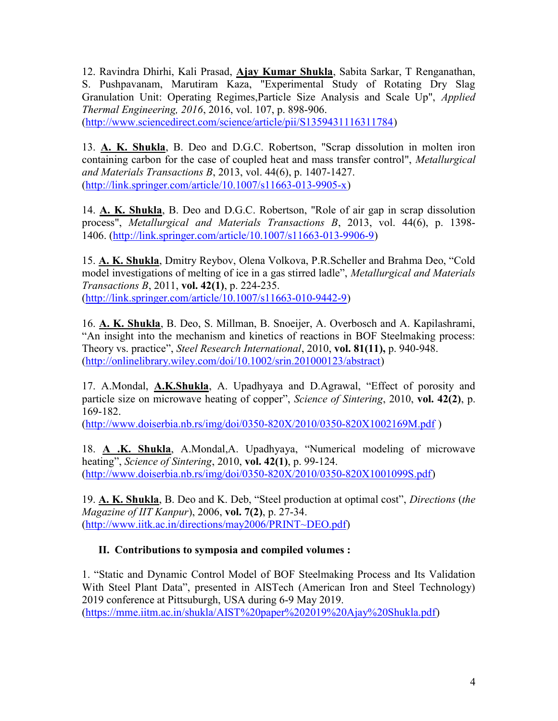12. Ravindra Dhirhi, Kali Prasad, Ajay Kumar Shukla, Sabita Sarkar, T Renganathan, S. Pushpavanam, Marutiram Kaza, "Experimental Study of Rotating Dry Slag Granulation Unit: Operating Regimes,Particle Size Analysis and Scale Up", Applied Thermal Engineering, 2016, 2016, vol. 107, p. 898-906. (http://www.sciencedirect.com/science/article/pii/S1359431116311784)

13. A. K. Shukla, B. Deo and D.G.C. Robertson, "Scrap dissolution in molten iron containing carbon for the case of coupled heat and mass transfer control", *Metallurgical* and Materials Transactions B, 2013, vol. 44(6), p. 1407-1427. (http://link.springer.com/article/10.1007/s11663-013-9905-x)

14. A. K. Shukla, B. Deo and D.G.C. Robertson, "Role of air gap in scrap dissolution process", Metallurgical and Materials Transactions B, 2013, vol. 44(6), p. 1398- 1406. (http://link.springer.com/article/10.1007/s11663-013-9906-9)

15. A. K. Shukla, Dmitry Reybov, Olena Volkova, P.R.Scheller and Brahma Deo, "Cold model investigations of melting of ice in a gas stirred ladle", Metallurgical and Materials Transactions B, 2011, vol. 42(1), p. 224-235. (http://link.springer.com/article/10.1007/s11663-010-9442-9)

16. A. K. Shukla, B. Deo, S. Millman, B. Snoeijer, A. Overbosch and A. Kapilashrami, "An insight into the mechanism and kinetics of reactions in BOF Steelmaking process: Theory vs. practice", Steel Research International, 2010, vol. 81(11), p. 940-948. (http://onlinelibrary.wiley.com/doi/10.1002/srin.201000123/abstract)

17. A.Mondal, A.K.Shukla, A. Upadhyaya and D.Agrawal, "Effect of porosity and particle size on microwave heating of copper", Science of Sintering, 2010, vol. 42(2), p. 169-182.

(http://www.doiserbia.nb.rs/img/doi/0350-820X/2010/0350-820X1002169M.pdf )

18. A .K. Shukla, A.Mondal,A. Upadhyaya, "Numerical modeling of microwave heating", Science of Sintering, 2010, vol.  $42(1)$ , p. 99-124. (http://www.doiserbia.nb.rs/img/doi/0350-820X/2010/0350-820X1001099S.pdf)

19. A. K. Shukla, B. Deo and K. Deb, "Steel production at optimal cost", Directions (the Magazine of IIT Kanpur),  $2006$ , vol.  $7(2)$ , p. 27-34. (http://www.iitk.ac.in/directions/may2006/PRINT~DEO.pdf)

# II. Contributions to symposia and compiled volumes :

1. "Static and Dynamic Control Model of BOF Steelmaking Process and Its Validation With Steel Plant Data", presented in AISTech (American Iron and Steel Technology) 2019 conference at Pittsuburgh, USA during 6-9 May 2019. (https://mme.iitm.ac.in/shukla/AIST%20paper%202019%20Ajay%20Shukla.pdf)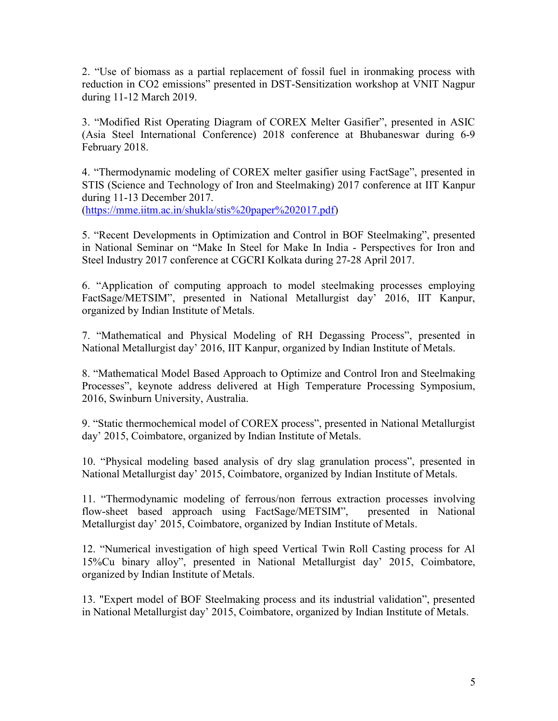2. "Use of biomass as a partial replacement of fossil fuel in ironmaking process with reduction in CO2 emissions" presented in DST-Sensitization workshop at VNIT Nagpur during 11-12 March 2019.

3. "Modified Rist Operating Diagram of COREX Melter Gasifier", presented in ASIC (Asia Steel International Conference) 2018 conference at Bhubaneswar during 6-9 February 2018.

4. "Thermodynamic modeling of COREX melter gasifier using FactSage", presented in STIS (Science and Technology of Iron and Steelmaking) 2017 conference at IIT Kanpur during 11-13 December 2017.

(https://mme.iitm.ac.in/shukla/stis%20paper%202017.pdf)

5. "Recent Developments in Optimization and Control in BOF Steelmaking", presented in National Seminar on "Make In Steel for Make In India - Perspectives for Iron and Steel Industry 2017 conference at CGCRI Kolkata during 27-28 April 2017.

6. "Application of computing approach to model steelmaking processes employing FactSage/METSIM", presented in National Metallurgist day' 2016, IIT Kanpur, organized by Indian Institute of Metals.

7. "Mathematical and Physical Modeling of RH Degassing Process", presented in National Metallurgist day' 2016, IIT Kanpur, organized by Indian Institute of Metals.

8. "Mathematical Model Based Approach to Optimize and Control Iron and Steelmaking Processes", keynote address delivered at High Temperature Processing Symposium, 2016, Swinburn University, Australia.

9. "Static thermochemical model of COREX process", presented in National Metallurgist day' 2015, Coimbatore, organized by Indian Institute of Metals.

10. "Physical modeling based analysis of dry slag granulation process", presented in National Metallurgist day' 2015, Coimbatore, organized by Indian Institute of Metals.

11. "Thermodynamic modeling of ferrous/non ferrous extraction processes involving flow-sheet based approach using FactSage/METSIM", presented in National Metallurgist day' 2015, Coimbatore, organized by Indian Institute of Metals.

12. "Numerical investigation of high speed Vertical Twin Roll Casting process for Al 15%Cu binary alloy", presented in National Metallurgist day' 2015, Coimbatore, organized by Indian Institute of Metals.

13. "Expert model of BOF Steelmaking process and its industrial validation", presented in National Metallurgist day' 2015, Coimbatore, organized by Indian Institute of Metals.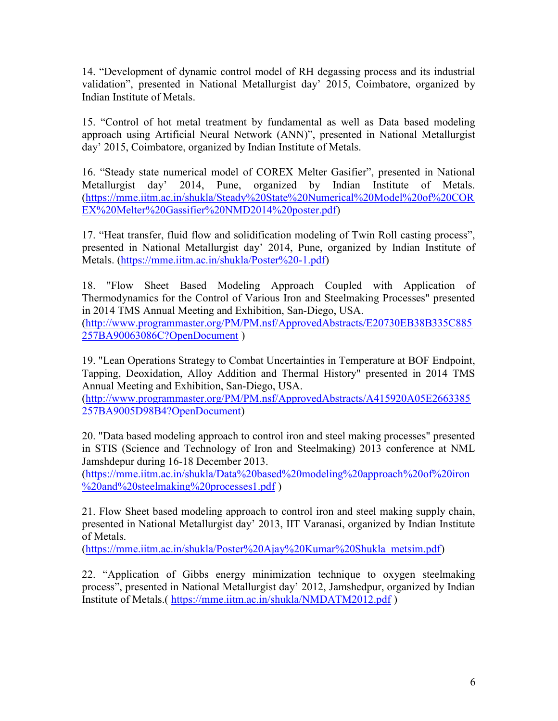14. "Development of dynamic control model of RH degassing process and its industrial validation", presented in National Metallurgist day' 2015, Coimbatore, organized by Indian Institute of Metals.

15. "Control of hot metal treatment by fundamental as well as Data based modeling approach using Artificial Neural Network (ANN)", presented in National Metallurgist day' 2015, Coimbatore, organized by Indian Institute of Metals.

16. "Steady state numerical model of COREX Melter Gasifier", presented in National Metallurgist day' 2014, Pune, organized by Indian Institute of Metals. (https://mme.iitm.ac.in/shukla/Steady%20State%20Numerical%20Model%20of%20COR EX%20Melter%20Gassifier%20NMD2014%20poster.pdf)

17. "Heat transfer, fluid flow and solidification modeling of Twin Roll casting process", presented in National Metallurgist day' 2014, Pune, organized by Indian Institute of Metals. (https://mme.iitm.ac.in/shukla/Poster%20-1.pdf)

18. "Flow Sheet Based Modeling Approach Coupled with Application of Thermodynamics for the Control of Various Iron and Steelmaking Processes" presented in 2014 TMS Annual Meeting and Exhibition, San-Diego, USA. (http://www.programmaster.org/PM/PM.nsf/ApprovedAbstracts/E20730EB38B335C885 257BA90063086C?OpenDocument )

19. "Lean Operations Strategy to Combat Uncertainties in Temperature at BOF Endpoint, Tapping, Deoxidation, Alloy Addition and Thermal History" presented in 2014 TMS Annual Meeting and Exhibition, San-Diego, USA.

(http://www.programmaster.org/PM/PM.nsf/ApprovedAbstracts/A415920A05E2663385 257BA9005D98B4?OpenDocument)

20. "Data based modeling approach to control iron and steel making processes" presented in STIS (Science and Technology of Iron and Steelmaking) 2013 conference at NML Jamshdepur during 16-18 December 2013.

(https://mme.iitm.ac.in/shukla/Data%20based%20modeling%20approach%20of%20iron %20and%20steelmaking%20processes1.pdf )

21. Flow Sheet based modeling approach to control iron and steel making supply chain, presented in National Metallurgist day' 2013, IIT Varanasi, organized by Indian Institute of Metals.

(https://mme.iitm.ac.in/shukla/Poster%20Ajay%20Kumar%20Shukla\_metsim.pdf)

22. "Application of Gibbs energy minimization technique to oxygen steelmaking process", presented in National Metallurgist day' 2012, Jamshedpur, organized by Indian Institute of Metals.( https://mme.iitm.ac.in/shukla/NMDATM2012.pdf )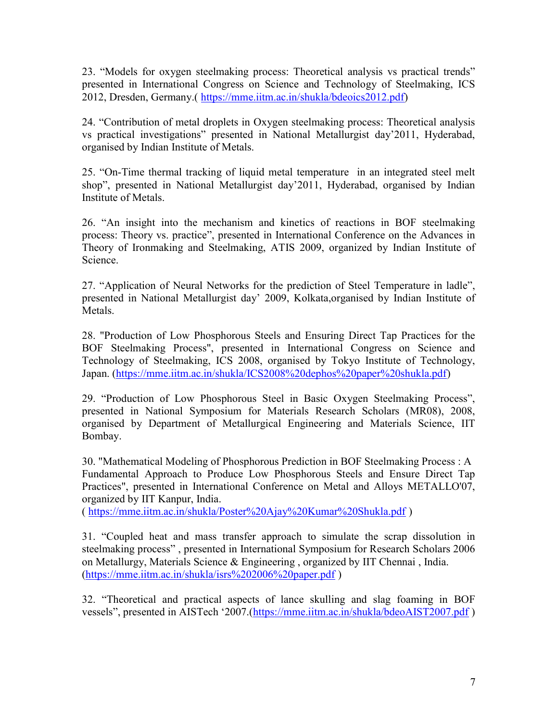23. "Models for oxygen steelmaking process: Theoretical analysis vs practical trends" presented in International Congress on Science and Technology of Steelmaking, ICS 2012, Dresden, Germany.( https://mme.iitm.ac.in/shukla/bdeoics2012.pdf)

24. "Contribution of metal droplets in Oxygen steelmaking process: Theoretical analysis vs practical investigations" presented in National Metallurgist day'2011, Hyderabad, organised by Indian Institute of Metals.

25. "On-Time thermal tracking of liquid metal temperature in an integrated steel melt shop", presented in National Metallurgist day'2011, Hyderabad, organised by Indian Institute of Metals.

26. "An insight into the mechanism and kinetics of reactions in BOF steelmaking process: Theory vs. practice", presented in International Conference on the Advances in Theory of Ironmaking and Steelmaking, ATIS 2009, organized by Indian Institute of Science.

27. "Application of Neural Networks for the prediction of Steel Temperature in ladle", presented in National Metallurgist day' 2009, Kolkata,organised by Indian Institute of Metals.

28. "Production of Low Phosphorous Steels and Ensuring Direct Tap Practices for the BOF Steelmaking Process", presented in International Congress on Science and Technology of Steelmaking, ICS 2008, organised by Tokyo Institute of Technology, Japan. (https://mme.iitm.ac.in/shukla/ICS2008%20dephos%20paper%20shukla.pdf)

29. "Production of Low Phosphorous Steel in Basic Oxygen Steelmaking Process", presented in National Symposium for Materials Research Scholars (MR08), 2008, organised by Department of Metallurgical Engineering and Materials Science, IIT Bombay.

30. "Mathematical Modeling of Phosphorous Prediction in BOF Steelmaking Process : A Fundamental Approach to Produce Low Phosphorous Steels and Ensure Direct Tap Practices", presented in International Conference on Metal and Alloys METALLO'07, organized by IIT Kanpur, India.

( https://mme.iitm.ac.in/shukla/Poster%20Ajay%20Kumar%20Shukla.pdf )

31. "Coupled heat and mass transfer approach to simulate the scrap dissolution in steelmaking process" , presented in International Symposium for Research Scholars 2006 on Metallurgy, Materials Science & Engineering , organized by IIT Chennai , India. (https://mme.iitm.ac.in/shukla/isrs%202006%20paper.pdf )

32. "Theoretical and practical aspects of lance skulling and slag foaming in BOF vessels", presented in AISTech '2007.(https://mme.iitm.ac.in/shukla/bdeoAIST2007.pdf )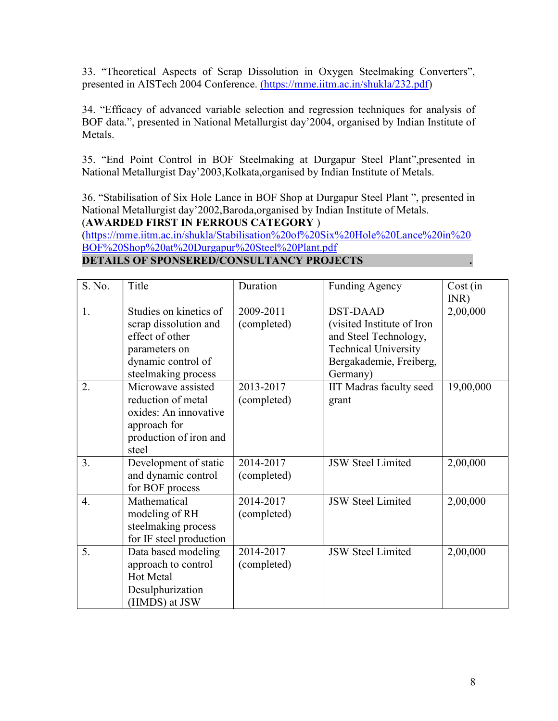33. "Theoretical Aspects of Scrap Dissolution in Oxygen Steelmaking Converters", presented in AISTech 2004 Conference. (https://mme.iitm.ac.in/shukla/232.pdf)

34. "Efficacy of advanced variable selection and regression techniques for analysis of BOF data.", presented in National Metallurgist day'2004, organised by Indian Institute of Metals.

35. "End Point Control in BOF Steelmaking at Durgapur Steel Plant",presented in National Metallurgist Day'2003,Kolkata,organised by Indian Institute of Metals.

36. "Stabilisation of Six Hole Lance in BOF Shop at Durgapur Steel Plant ", presented in National Metallurgist day'2002,Baroda,organised by Indian Institute of Metals. (AWARDED FIRST IN FERROUS CATEGORY )

(https://mme.iitm.ac.in/shukla/Stabilisation%20of%20Six%20Hole%20Lance%20in%20 BOF%20Shop%20at%20Durgapur%20Steel%20Plant.pdf

#### DETAILS OF SPONSERED/CONSULTANCY PROJECTS

| S. No. | Title                                                                                                                            | Duration                 | <b>Funding Agency</b>                                                                                                                        | Cost (in<br>INR) |
|--------|----------------------------------------------------------------------------------------------------------------------------------|--------------------------|----------------------------------------------------------------------------------------------------------------------------------------------|------------------|
| 1.     | Studies on kinetics of<br>scrap dissolution and<br>effect of other<br>parameters on<br>dynamic control of<br>steelmaking process | 2009-2011<br>(completed) | <b>DST-DAAD</b><br>(visited Institute of Iron<br>and Steel Technology,<br><b>Technical University</b><br>Bergakademie, Freiberg,<br>Germany) | 2,00,000         |
| 2.     | Microwave assisted<br>reduction of metal<br>oxides: An innovative<br>approach for<br>production of iron and<br>steel             | 2013-2017<br>(completed) | IIT Madras faculty seed<br>grant                                                                                                             | 19,00,000        |
| 3.     | Development of static<br>and dynamic control<br>for BOF process                                                                  | 2014-2017<br>(completed) | <b>JSW Steel Limited</b>                                                                                                                     | 2,00,000         |
| 4.     | Mathematical<br>modeling of RH<br>steelmaking process<br>for IF steel production                                                 | 2014-2017<br>(completed) | <b>JSW Steel Limited</b>                                                                                                                     | 2,00,000         |
| 5.     | Data based modeling<br>approach to control<br>Hot Metal<br>Desulphurization<br>(HMDS) at JSW                                     | 2014-2017<br>(completed) | <b>JSW Steel Limited</b>                                                                                                                     | 2,00,000         |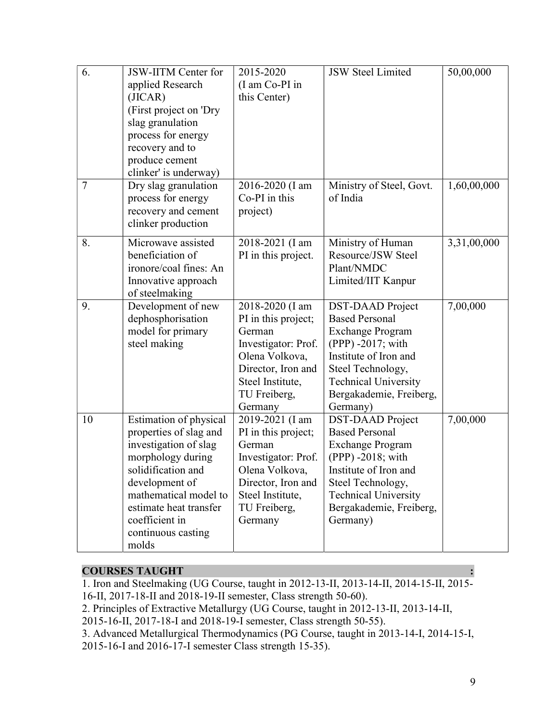| 6.     | JSW-IITM Center for<br>applied Research<br>(JICAR)<br>(First project on 'Dry<br>slag granulation<br>process for energy                                                                                                                     | 2015-2020<br>(I am Co-PI in<br>this Center)                                                                                                                    | <b>JSW Steel Limited</b>                                                                                                                                                                                             | 50,00,000   |
|--------|--------------------------------------------------------------------------------------------------------------------------------------------------------------------------------------------------------------------------------------------|----------------------------------------------------------------------------------------------------------------------------------------------------------------|----------------------------------------------------------------------------------------------------------------------------------------------------------------------------------------------------------------------|-------------|
|        | recovery and to<br>produce cement<br>clinker' is underway)                                                                                                                                                                                 |                                                                                                                                                                |                                                                                                                                                                                                                      |             |
| $\tau$ | Dry slag granulation<br>process for energy<br>recovery and cement<br>clinker production                                                                                                                                                    | 2016-2020 (I am<br>Co-PI in this<br>project)                                                                                                                   | Ministry of Steel, Govt.<br>of India                                                                                                                                                                                 | 1,60,00,000 |
| 8.     | Microwave assisted<br>beneficiation of<br>ironore/coal fines: An<br>Innovative approach<br>of steelmaking                                                                                                                                  | 2018-2021 (I am<br>PI in this project.                                                                                                                         | Ministry of Human<br>Resource/JSW Steel<br>Plant/NMDC<br>Limited/IIT Kanpur                                                                                                                                          | 3,31,00,000 |
| 9.     | Development of new<br>dephosphorisation<br>model for primary<br>steel making                                                                                                                                                               | 2018-2020 (I am<br>PI in this project;<br>German<br>Investigator: Prof.<br>Olena Volkova,<br>Director, Iron and<br>Steel Institute,<br>TU Freiberg,<br>Germany | <b>DST-DAAD</b> Project<br><b>Based Personal</b><br><b>Exchange Program</b><br>(PPP) -2017; with<br>Institute of Iron and<br>Steel Technology,<br><b>Technical University</b><br>Bergakademie, Freiberg,<br>Germany) | 7,00,000    |
| 10     | Estimation of physical<br>properties of slag and<br>investigation of slag<br>morphology during<br>solidification and<br>development of<br>mathematical model to<br>estimate heat transfer<br>coefficient in<br>continuous casting<br>molds | 2019-2021 (I am<br>PI in this project;<br>German<br>Investigator: Prof.<br>Olena Volkova.<br>Director, Iron and<br>Steel Institute,<br>TU Freiberg,<br>Germany | <b>DST-DAAD</b> Project<br><b>Based Personal</b><br><b>Exchange Program</b><br>(PPP) -2018; with<br>Institute of Iron and<br>Steel Technology,<br><b>Technical University</b><br>Bergakademie, Freiberg,<br>Germany) | 7,00,000    |

#### **COURSES TAUGHT**

1. Iron and Steelmaking (UG Course, taught in 2012-13-II, 2013-14-II, 2014-15-II, 2015- 16-II, 2017-18-II and 2018-19-II semester, Class strength 50-60).

2. Principles of Extractive Metallurgy (UG Course, taught in 2012-13-II, 2013-14-II,

2015-16-II, 2017-18-I and 2018-19-I semester, Class strength 50-55).

3. Advanced Metallurgical Thermodynamics (PG Course, taught in 2013-14-I, 2014-15-I, 2015-16-I and 2016-17-I semester Class strength 15-35).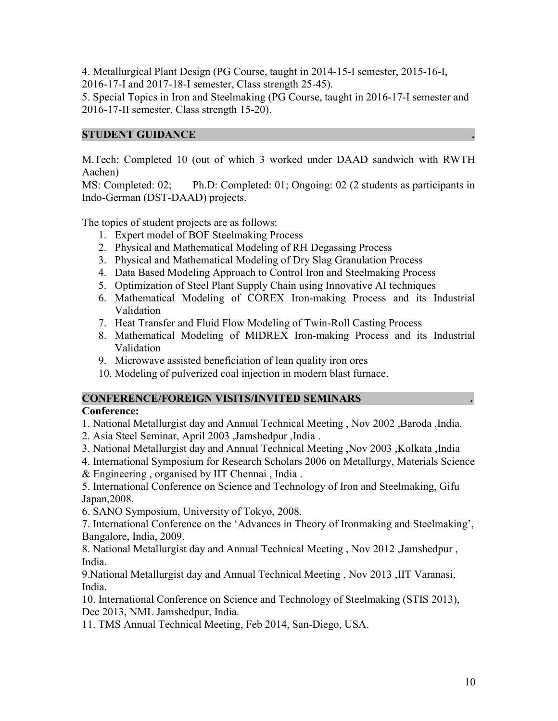4. Metallurgical Plant Design (PG Course, taught in 2014-15-I semester, 2015-16-I, 2016-17-I and 2017-18-I semester, Class strength 25-45).

5. Special Topics in Iron and Steelmaking (PG Course, taught in 2016-17-I semester and 2016-17-II semester, Class strength 15-20).

#### STUDENT GUIDANCE

M.Tech: Completed 10 (out of which 3 worked under DAAD sandwich with RWTH Aachen)

MS: Completed: 02; Ph.D: Completed: 01; Ongoing: 02 (2 students as participants in Indo-German (DST-DAAD) projects.

The topics of student projects are as follows:

- 1. Expert model of BOF Steelmaking Process
- 2. Physical and Mathematical Modeling of RH Degassing Process
- 3. Physical and Mathematical Modeling of Dry Slag Granulation Process
- 4. Data Based Modeling Approach to Control Iron and Steelmaking Process
- 5. Optimization of Steel Plant Supply Chain using Innovative AI techniques
- 6. Mathematical Modeling of COREX Iron-making Process and its Industrial Validation
- 7. Heat Transfer and Fluid Flow Modeling of Twin-Roll Casting Process
- 8. Mathematical Modeling of MIDREX Iron-making Process and its Industrial Validation
- 9. Microwave assisted beneficiation of lean quality iron ores
- 10. Modeling of pulverized coal injection in modern blast furnace.

#### CONFERENCE/FOREIGN VISITS/INVITED SEMINARS .

#### Conference:

- 1. National Metallurgist day and Annual Technical Meeting , Nov 2002 ,Baroda ,India.
- 2. Asia Steel Seminar, April 2003 ,Jamshedpur ,India .
- 3. National Metallurgist day and Annual Technical Meeting ,Nov 2003 ,Kolkata ,India
- 4. International Symposium for Research Scholars 2006 on Metallurgy, Materials Science & Engineering , organised by IIT Chennai , India .

5. International Conference on Science and Technology of Iron and Steelmaking, Gifu Japan,2008.

6. SANO Symposium, University of Tokyo, 2008.

7. International Conference on the 'Advances in Theory of Ironmaking and Steelmaking', Bangalore, India, 2009.

8. National Metallurgist day and Annual Technical Meeting , Nov 2012 ,Jamshedpur , India.

9.National Metallurgist day and Annual Technical Meeting , Nov 2013 ,IIT Varanasi, India.

10. International Conference on Science and Technology of Steelmaking (STIS 2013), Dec 2013, NML Jamshedpur, India.

11. TMS Annual Technical Meeting, Feb 2014, San-Diego, USA.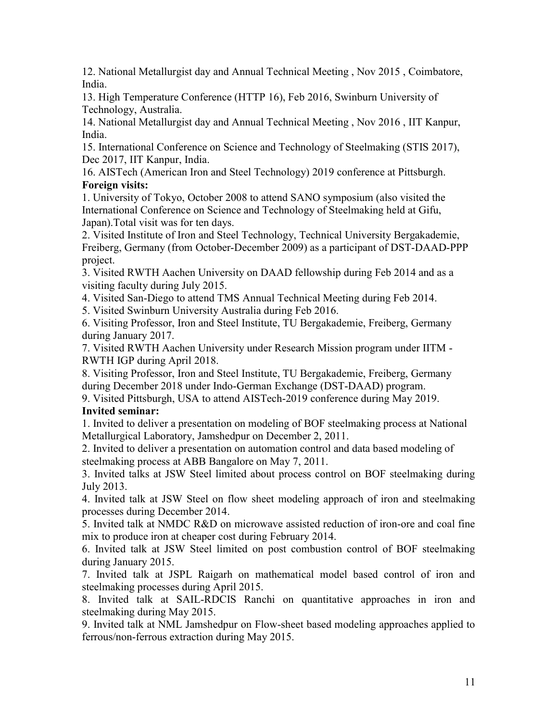12. National Metallurgist day and Annual Technical Meeting , Nov 2015 , Coimbatore, India.

13. High Temperature Conference (HTTP 16), Feb 2016, Swinburn University of Technology, Australia.

14. National Metallurgist day and Annual Technical Meeting , Nov 2016 , IIT Kanpur, India.

15. International Conference on Science and Technology of Steelmaking (STIS 2017), Dec 2017, IIT Kanpur, India.

16. AISTech (American Iron and Steel Technology) 2019 conference at Pittsburgh. Foreign visits:

1. University of Tokyo, October 2008 to attend SANO symposium (also visited the International Conference on Science and Technology of Steelmaking held at Gifu, Japan).Total visit was for ten days.

2. Visited Institute of Iron and Steel Technology, Technical University Bergakademie, Freiberg, Germany (from October-December 2009) as a participant of DST-DAAD-PPP project.

3. Visited RWTH Aachen University on DAAD fellowship during Feb 2014 and as a visiting faculty during July 2015.

4. Visited San-Diego to attend TMS Annual Technical Meeting during Feb 2014.

5. Visited Swinburn University Australia during Feb 2016.

6. Visiting Professor, Iron and Steel Institute, TU Bergakademie, Freiberg, Germany during January 2017.

7. Visited RWTH Aachen University under Research Mission program under IITM - RWTH IGP during April 2018.

8. Visiting Professor, Iron and Steel Institute, TU Bergakademie, Freiberg, Germany during December 2018 under Indo-German Exchange (DST-DAAD) program.

9. Visited Pittsburgh, USA to attend AISTech-2019 conference during May 2019.

### Invited seminar:

1. Invited to deliver a presentation on modeling of BOF steelmaking process at National Metallurgical Laboratory, Jamshedpur on December 2, 2011.

2. Invited to deliver a presentation on automation control and data based modeling of steelmaking process at ABB Bangalore on May 7, 2011.

3. Invited talks at JSW Steel limited about process control on BOF steelmaking during July 2013.

4. Invited talk at JSW Steel on flow sheet modeling approach of iron and steelmaking processes during December 2014.

5. Invited talk at NMDC R&D on microwave assisted reduction of iron-ore and coal fine mix to produce iron at cheaper cost during February 2014.

6. Invited talk at JSW Steel limited on post combustion control of BOF steelmaking during January 2015.

7. Invited talk at JSPL Raigarh on mathematical model based control of iron and steelmaking processes during April 2015.

8. Invited talk at SAIL-RDCIS Ranchi on quantitative approaches in iron and steelmaking during May 2015.

9. Invited talk at NML Jamshedpur on Flow-sheet based modeling approaches applied to ferrous/non-ferrous extraction during May 2015.